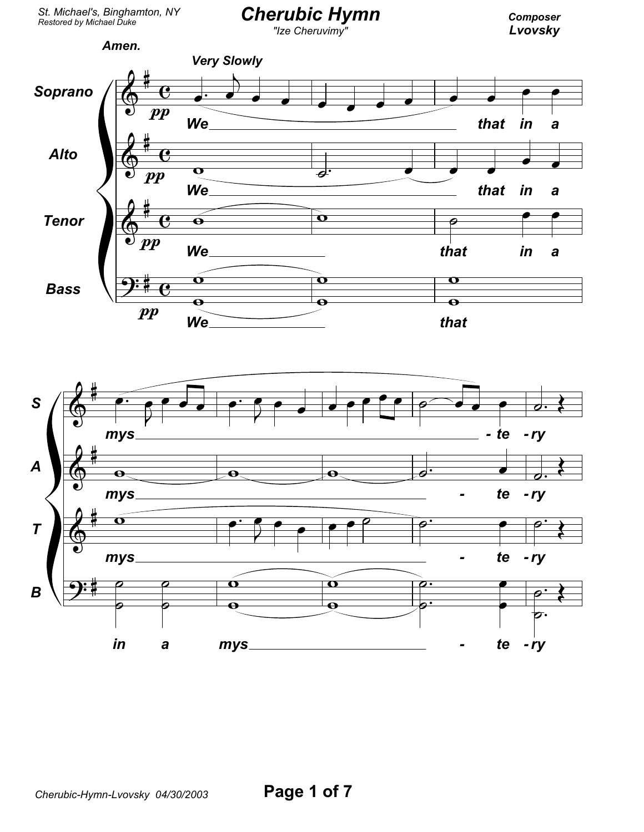St. Michael's, Binghamton, NY<br>Restored by Michael Duke

## **Cherubic Hymn**<br>"Ize Cheruvimy"

**Composer** Lvovsky

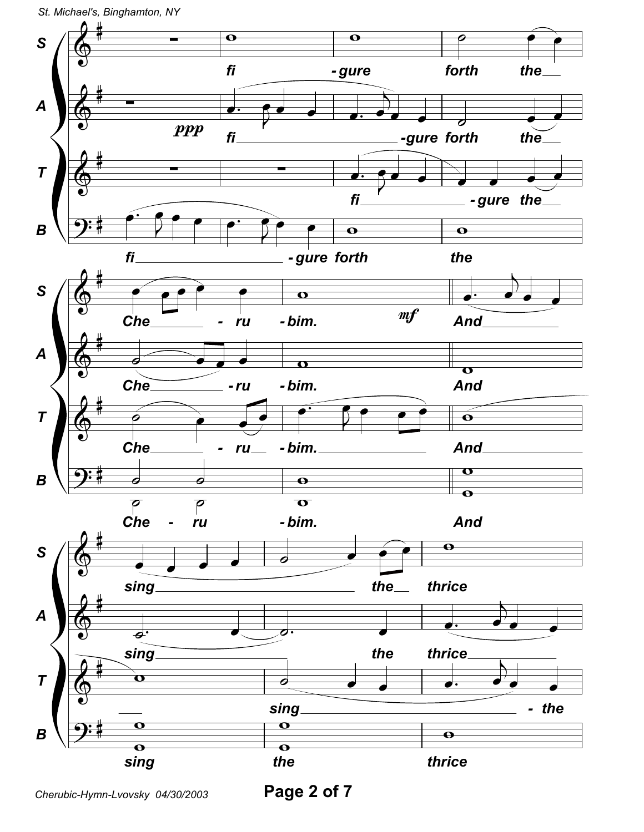



Page 2 of 7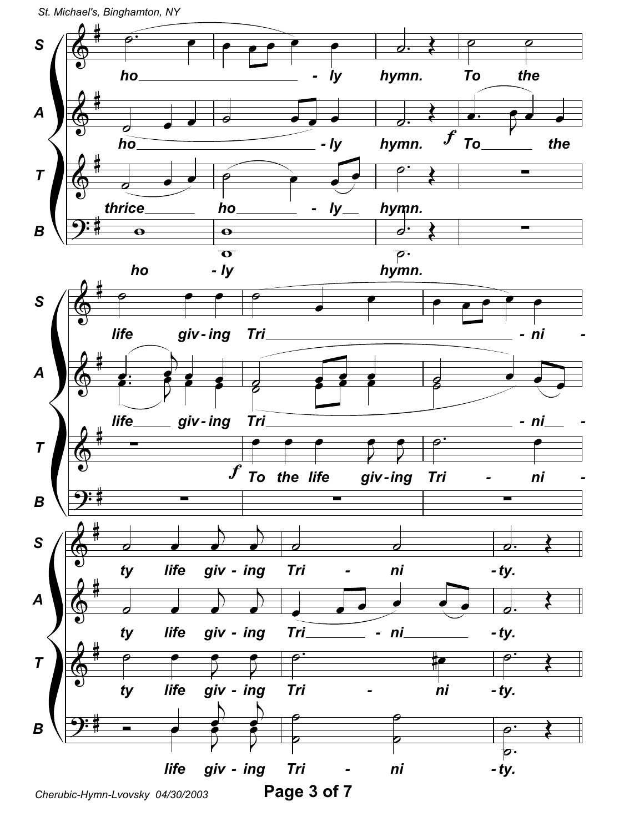St. Michael's, Binghamton, NY

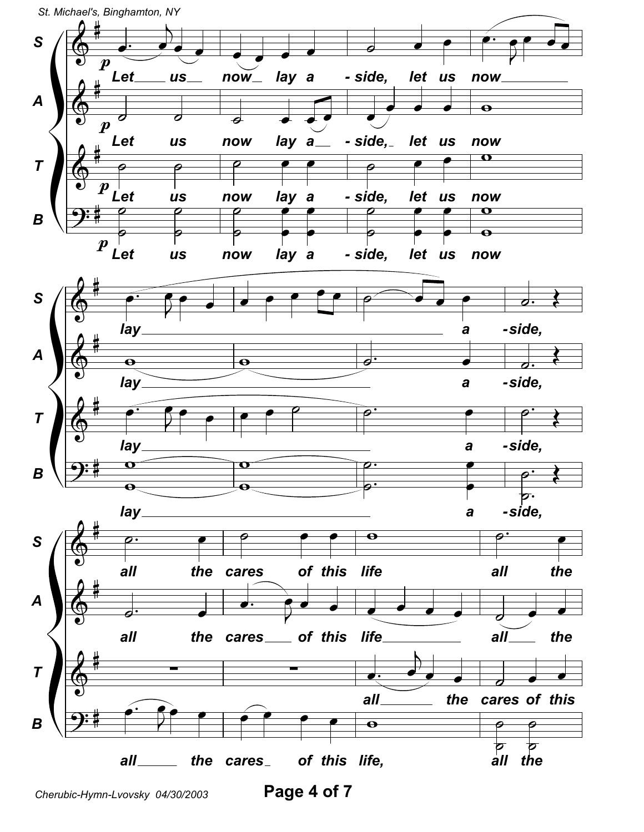

Page 4 of 7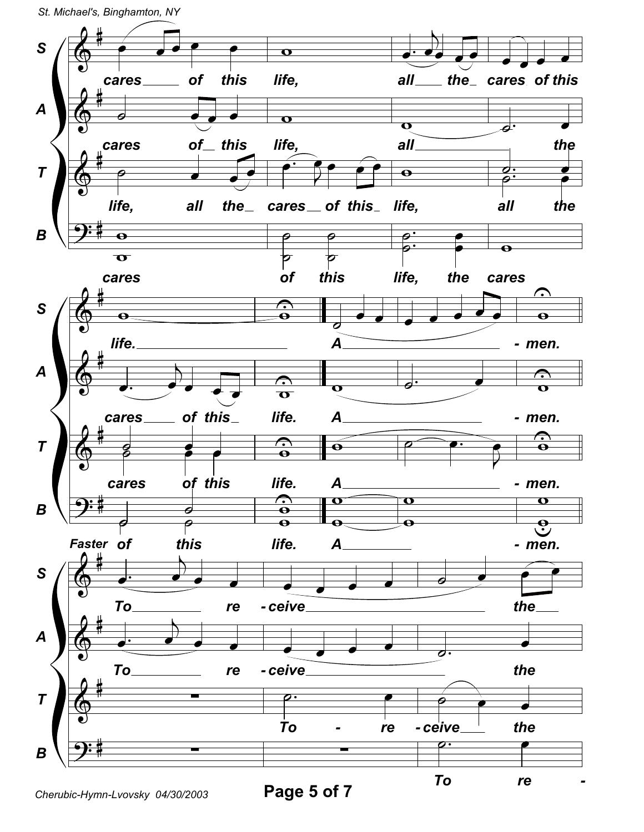



Cherubic-Hymn-Lvovsky 04/30/2003

Page 5 of 7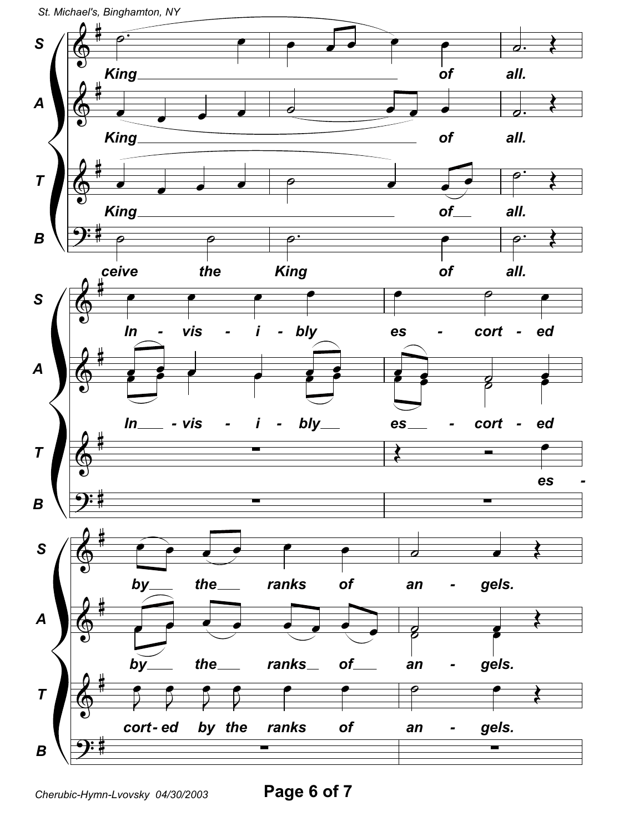